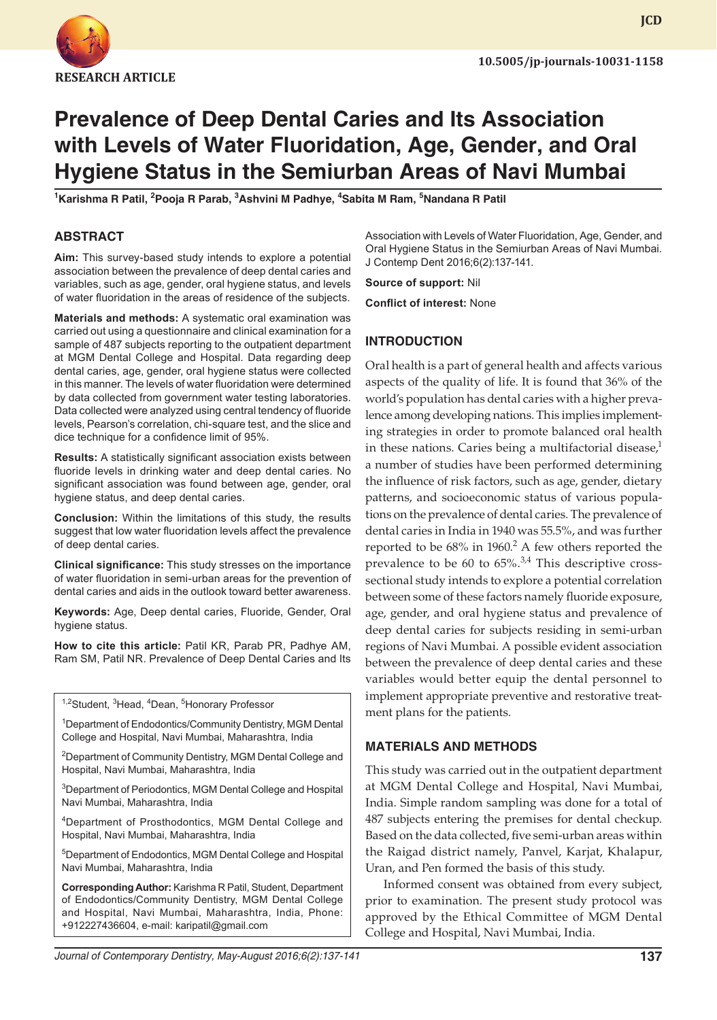

**JCD**

# **Prevalence of Deep Dental Caries and Its Association with Levels of Water Fluoridation, Age, Gender, and Oral Hygiene Status in the Semiurban Areas of Navi Mumbai**

<sup>1</sup>Karishma R Patil, <sup>2</sup>Pooja R Parab, <sup>3</sup>Ashvini M Padhye, <sup>4</sup>Sabita M Ram, <sup>5</sup>Nandana R Patil

#### **ABSTRACT**

**Aim:** This survey-based study intends to explore a potential association between the prevalence of deep dental caries and variables, such as age, gender, oral hygiene status, and levels of water fluoridation in the areas of residence of the subjects.

**Materials and methods:** A systematic oral examination was carried out using a questionnaire and clinical examination for a sample of 487 subjects reporting to the outpatient department at MGM Dental College and Hospital. Data regarding deep dental caries, age, gender, oral hygiene status were collected in this manner. The levels of water fluoridation were determined by data collected from government water testing laboratories. Data collected were analyzed using central tendency of fluoride levels, Pearson's correlation, chi-square test, and the slice and dice technique for a confidence limit of 95%.

**Results:** A statistically significant association exists between fluoride levels in drinking water and deep dental caries. No significant association was found between age, gender, oral hygiene status, and deep dental caries.

**Conclusion:** Within the limitations of this study, the results suggest that low water fluoridation levels affect the prevalence of deep dental caries.

**Clinical significance:** This study stresses on the importance of water fluoridation in semi-urban areas for the prevention of dental caries and aids in the outlook toward better awareness.

**Keywords:** Age, Deep dental caries, Fluoride, Gender, Oral hygiene status.

**How to cite this article:** Patil KR, Parab PR, Padhye AM, Ram SM, Patil NR. Prevalence of Deep Dental Caries and Its

<sup>1,2</sup>Student, <sup>3</sup>Head, <sup>4</sup>Dean, <sup>5</sup>Honorary Professor

1 Department of Endodontics/Community Dentistry, MGM Dental College and Hospital, Navi Mumbai, Maharashtra, India

<sup>2</sup>Department of Community Dentistry, MGM Dental College and Hospital, Navi Mumbai, Maharashtra, India

<sup>3</sup>Department of Periodontics, MGM Dental College and Hospital Navi Mumbai, Maharashtra, India

4Department of Prosthodontics, MGM Dental College and Hospital, Navi Mumbai, Maharashtra, India

5 Department of Endodontics, MGM Dental College and Hospital Navi Mumbai, Maharashtra, India

**Corresponding Author:** Karishma R Patil, Student, Department of Endodontics/Community Dentistry, MGM Dental College and Hospital, Navi Mumbai, Maharashtra, India, Phone: +912227436604, e-mail: karipatil@gmail.com

Association with Levels of Water Fluoridation, Age, Gender, and Oral Hygiene Status in the Semiurban Areas of Navi Mumbai. J Contemp Dent 2016;6(2):137-141.

**Source of support:** Nil

**Conflict of interest:** None

#### **INTRODUCTION**

Oral health is a part of general health and affects various aspects of the quality of life. It is found that 36% of the world's population has dental caries with a higher prevalence among developing nations. This implies implementing strategies in order to promote balanced oral health in these nations. Caries being a multifactorial disease, $<sup>1</sup>$ </sup> a number of studies have been performed determining the influence of risk factors, such as age, gender, dietary patterns, and socioeconomic status of various populations on the prevalence of dental caries. The prevalence of dental caries in India in 1940 was 55.5%, and was further reported to be  $68\%$  in  $1960<sup>2</sup>$ . A few others reported the prevalence to be 60 to  $65\%$ .<sup>3,4</sup> This descriptive crosssectional study intends to explore a potential correlation between some of these factors namely fluoride exposure, age, gender, and oral hygiene status and prevalence of deep dental caries for subjects residing in semi-urban regions of Navi Mumbai. A possible evident association between the prevalence of deep dental caries and these variables would better equip the dental personnel to implement appropriate preventive and restorative treatment plans for the patients.

#### **MATERIALS AND METHODS**

This study was carried out in the outpatient department at MGM Dental College and Hospital, Navi Mumbai, India. Simple random sampling was done for a total of 487 subjects entering the premises for dental checkup. Based on the data collected, five semi-urban areas within the Raigad district namely, Panvel, Karjat, Khalapur, Uran, and Pen formed the basis of this study.

Informed consent was obtained from every subject, prior to examination. The present study protocol was approved by the Ethical Committee of MGM Dental College and Hospital, Navi Mumbai, India.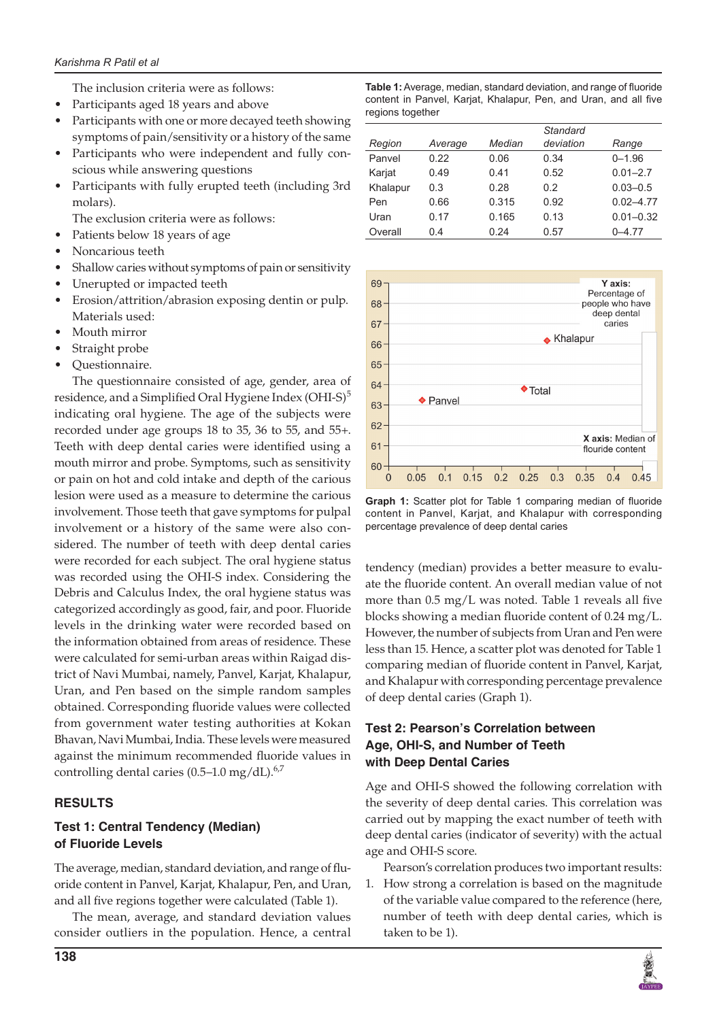The inclusion criteria were as follows:

- Participants aged 18 years and above
- Participants with one or more decayed teeth showing symptoms of pain/sensitivity or a history of the same
- Participants who were independent and fully conscious while answering questions
- • Participants with fully erupted teeth (including 3rd molars).
	- The exclusion criteria were as follows:
- Patients below 18 years of age
- Noncarious teeth
- Shallow caries without symptoms of pain or sensitivity
- Unerupted or impacted teeth
- Erosion/attrition/abrasion exposing dentin or pulp. Materials used:
- Mouth mirror
- Straight probe
- Questionnaire.

The questionnaire consisted of age, gender, area of residence, and a Simplified Oral Hygiene Index (OHI-S) $5$ indicating oral hygiene. The age of the subjects were recorded under age groups 18 to 35, 36 to 55, and 55+. Teeth with deep dental caries were identified using a mouth mirror and probe. Symptoms, such as sensitivity or pain on hot and cold intake and depth of the carious lesion were used as a measure to determine the carious involvement. Those teeth that gave symptoms for pulpal involvement or a history of the same were also considered. The number of teeth with deep dental caries were recorded for each subject. The oral hygiene status was recorded using the OHI-S index. Considering the Debris and Calculus Index, the oral hygiene status was categorized accordingly as good, fair, and poor. Fluoride levels in the drinking water were recorded based on the information obtained from areas of residence. These were calculated for semi-urban areas within Raigad district of Navi Mumbai, namely, Panvel, Karjat, Khalapur, Uran, and Pen based on the simple random samples obtained. Corresponding fluoride values were collected from government water testing authorities at Kokan Bhavan, Navi Mumbai, India. These levels were measured against the minimum recommended fluoride values in controlling dental caries  $(0.5-1.0 \text{ mg/dL}).^{6,7}$ 

## **RESULTS**

## **Test 1: Central Tendency (Median) of Fluoride Levels**

The average, median, standard deviation, and range of fluoride content in Panvel, Karjat, Khalapur, Pen, and Uran, and all five regions together were calculated (Table 1).

The mean, average, and standard deviation values consider outliers in the population. Hence, a central

**Table 1:** Average, median, standard deviation, and range of fluoride content in Panvel, Karjat, Khalapur, Pen, and Uran, and all five regions together

|          |         |        | Standard  |               |
|----------|---------|--------|-----------|---------------|
| Region   | Average | Median | deviation | Range         |
| Panvel   | 0.22    | 0.06   | 0.34      | $0 - 1.96$    |
| Karjat   | 0.49    | 0.41   | 0.52      | $0.01 - 2.7$  |
| Khalapur | 0.3     | 0.28   | 0.2       | $0.03 - 0.5$  |
| Pen      | 0.66    | 0.315  | 0.92      | $0.02 - 4.77$ |
| Uran     | 0.17    | 0.165  | 0.13      | $0.01 - 0.32$ |
| Overall  | 0.4     | 0.24   | 0.57      | $0 - 4.77$    |



**Graph 1:** Scatter plot for Table 1 comparing median of fluoride content in Panvel, Karjat, and Khalapur with corresponding percentage prevalence of deep dental caries

tendency (median) provides a better measure to evaluate the fluoride content. An overall median value of not more than 0.5 mg/L was noted. Table 1 reveals all five blocks showing a median fluoride content of 0.24 mg/L. However, the number of subjects from Uran and Pen were less than 15. Hence, a scatter plot was denoted for Table 1 comparing median of fluoride content in Panvel, Karjat, and Khalapur with corresponding percentage prevalence of deep dental caries (Graph 1).

## **Test 2: Pearson's Correlation between Age, OHI-S, and Number of Teeth with Deep Dental Caries**

Age and OHI-S showed the following correlation with the severity of deep dental caries. This correlation was carried out by mapping the exact number of teeth with deep dental caries (indicator of severity) with the actual age and OHI-S score.

Pearson's correlation produces two important results:

1. How strong a correlation is based on the magnitude of the variable value compared to the reference (here, number of teeth with deep dental caries, which is taken to be 1).

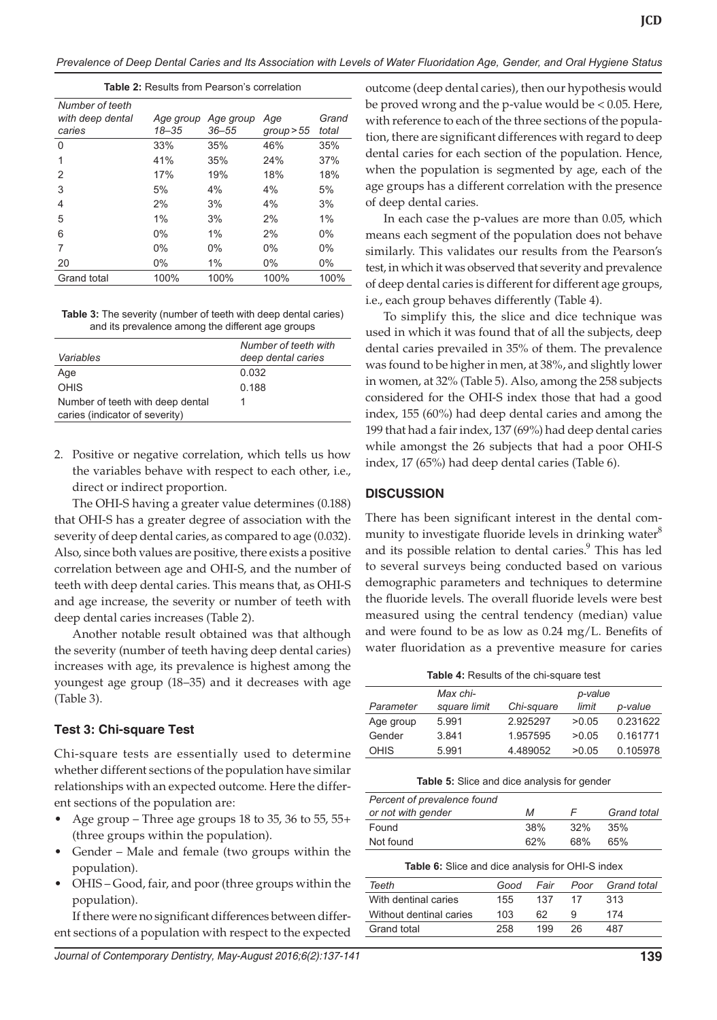*Prevalence of Deep Dental Caries and Its Association with Levels of Water Fluoridation Age, Gender, and Oral Hygiene Status*

|--|

| Grand |
|-------|
| total |
| 35%   |
| 37%   |
| 18%   |
| 5%    |
| 3%    |
| $1\%$ |
| $0\%$ |
| $0\%$ |
| $0\%$ |
| 100%  |
|       |

**Table 3:** The severity (number of teeth with deep dental caries) and its prevalence among the different age groups

|                                                                    | Number of teeth with |
|--------------------------------------------------------------------|----------------------|
| Variables                                                          | deep dental caries   |
| Age                                                                | 0.032                |
| <b>OHIS</b>                                                        | 0.188                |
| Number of teeth with deep dental<br>caries (indicator of severity) |                      |

2. Positive or negative correlation, which tells us how the variables behave with respect to each other, i.e., direct or indirect proportion.

The OHI-S having a greater value determines (0.188) that OHI-S has a greater degree of association with the severity of deep dental caries, as compared to age (0.032). Also, since both values are positive, there exists a positive correlation between age and OHI-S, and the number of teeth with deep dental caries. This means that, as OHI-S and age increase, the severity or number of teeth with deep dental caries increases (Table 2).

Another notable result obtained was that although the severity (number of teeth having deep dental caries) increases with age, its prevalence is highest among the youngest age group (18–35) and it decreases with age (Table 3).

## **Test 3: Chi-square Test**

Chi-square tests are essentially used to determine whether different sections of the population have similar relationships with an expected outcome. Here the different sections of the population are:

- Age group Three age groups 18 to 35, 36 to 55, 55+ (three groups within the population).
- Gender Male and female (two groups within the population).
- OHIS Good, fair, and poor (three groups within the population).

If there were no significant differences between different sections of a population with respect to the expected outcome (deep dental caries), then our hypothesis would be proved wrong and the p-value would be < 0.05. Here, with reference to each of the three sections of the population, there are significant differences with regard to deep dental caries for each section of the population. Hence, when the population is segmented by age, each of the age groups has a different correlation with the presence of deep dental caries.

In each case the p-values are more than 0.05, which means each segment of the population does not behave similarly. This validates our results from the Pearson's test, in which it was observed that severity and prevalence of deep dental caries is different for different age groups, i.e., each group behaves differently (Table 4).

To simplify this, the slice and dice technique was used in which it was found that of all the subjects, deep dental caries prevailed in 35% of them. The prevalence was found to be higher in men, at 38%, and slightly lower in women, at 32% (Table 5). Also, among the 258 subjects considered for the OHI-S index those that had a good index, 155 (60%) had deep dental caries and among the 199 that had a fair index, 137 (69%) had deep dental caries while amongst the 26 subjects that had a poor OHI-S index, 17 (65%) had deep dental caries (Table 6).

## **DISCUSSION**

There has been significant interest in the dental community to investigate fluoride levels in drinking water<sup>8</sup> and its possible relation to dental caries.<sup>9</sup> This has led to several surveys being conducted based on various demographic parameters and techniques to determine the fluoride levels. The overall fluoride levels were best measured using the central tendency (median) value and were found to be as low as 0.24 mg/L. Benefits of water fluoridation as a preventive measure for caries

**Table 4:** Results of the chi-square test

|             | Max chi-     |            | p-value |          |
|-------------|--------------|------------|---------|----------|
| Parameter   | square limit | Chi-square | limit   | p-value  |
| Age group   | 5.991        | 2.925297   | >0.05   | 0.231622 |
| Gender      | 3.841        | 1.957595   | >0.05   | 0.161771 |
| <b>OHIS</b> | 5.991        | 4.489052   | >0.05   | 0.105978 |

**Table 5:** Slice and dice analysis for gender

| Percent of prevalence found |     |     |                    |
|-----------------------------|-----|-----|--------------------|
| or not with gender          | м   |     | <b>Grand</b> total |
| Found                       | 38% | 32% | 35%                |
| Not found                   | 62% | 68% | 65%                |

## **Table 6:** Slice and dice analysis for OHI-S index

| Teeth                   | Good | Fair | Poor | Grand total |
|-------------------------|------|------|------|-------------|
| With dentinal caries    | 155  | 137  | 17   | 313         |
| Without dentinal caries | 103  | 62   | 9    | 174         |
| Grand total             | 258  | 199  | 26   | 487         |
|                         |      |      |      |             |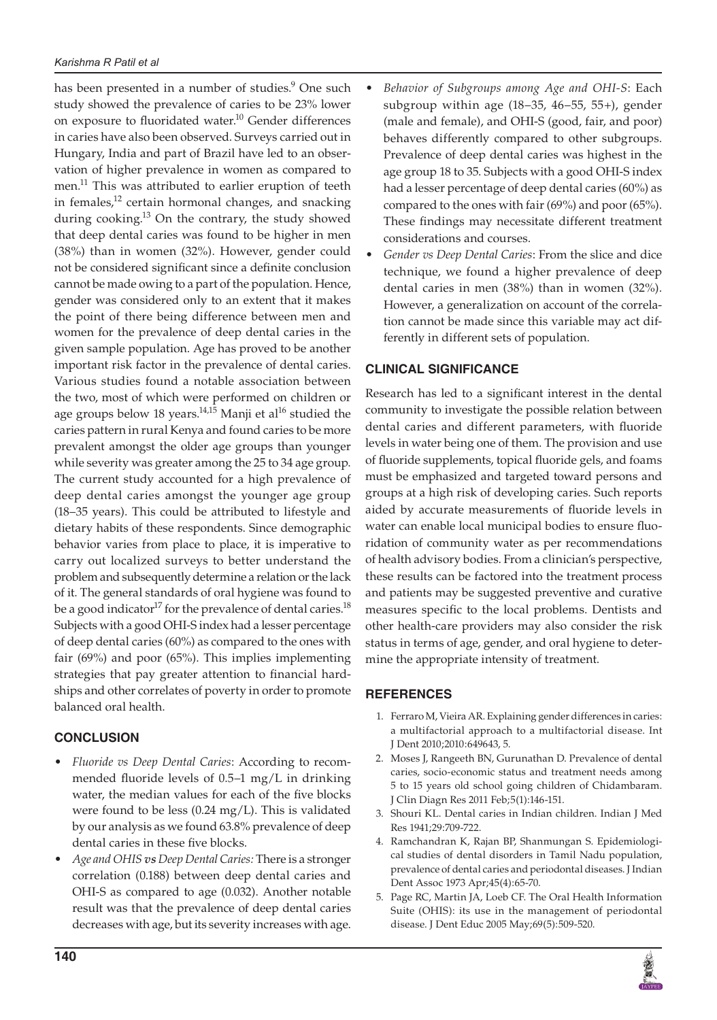has been presented in a number of studies.<sup>9</sup> One such study showed the prevalence of caries to be 23% lower on exposure to fluoridated water.<sup>10</sup> Gender differences in caries have also been observed. Surveys carried out in Hungary, India and part of Brazil have led to an observation of higher prevalence in women as compared to men.<sup>11</sup> This was attributed to earlier eruption of teeth in females, $^{12}$  certain hormonal changes, and snacking during cooking.<sup>13</sup> On the contrary, the study showed that deep dental caries was found to be higher in men (38%) than in women (32%). However, gender could not be considered significant since a definite conclusion cannot be made owing to a part of the population. Hence, gender was considered only to an extent that it makes the point of there being difference between men and women for the prevalence of deep dental caries in the given sample population. Age has proved to be another important risk factor in the prevalence of dental caries. Various studies found a notable association between the two, most of which were performed on children or age groups below 18 years. $14,15$  Manji et al<sup>16</sup> studied the caries pattern in rural Kenya and found caries to be more prevalent amongst the older age groups than younger while severity was greater among the 25 to 34 age group. The current study accounted for a high prevalence of deep dental caries amongst the younger age group (18–35 years). This could be attributed to lifestyle and dietary habits of these respondents. Since demographic behavior varies from place to place, it is imperative to carry out localized surveys to better understand the problem and subsequently determine a relation or the lack of it. The general standards of oral hygiene was found to be a good indicator<sup>17</sup> for the prevalence of dental caries.<sup>18</sup> Subjects with a good OHI-S index had a lesser percentage of deep dental caries (60%) as compared to the ones with fair (69%) and poor (65%). This implies implementing strategies that pay greater attention to financial hardships and other correlates of poverty in order to promote balanced oral health.

## **CONCLUSION**

- Fluoride vs Deep Dental Caries: According to recommended fluoride levels of 0.5–1 mg/L in drinking water, the median values for each of the five blocks were found to be less (0.24 mg/L). This is validated by our analysis as we found 63.8% prevalence of deep dental caries in these five blocks.
- Age and OHIS *vs* Deep Dental Caries: There is a stronger correlation (0.188) between deep dental caries and OHI-S as compared to age (0.032). Another notable result was that the prevalence of deep dental caries decreases with age, but its severity increases with age.
- Behavior of Subgroups among Age and OHI-S: Each subgroup within age (18–35, 46–55, 55+), gender (male and female), and OHI-S (good, fair, and poor) behaves differently compared to other subgroups. Prevalence of deep dental caries was highest in the age group 18 to 35. Subjects with a good OHI-S index had a lesser percentage of deep dental caries (60%) as compared to the ones with fair (69%) and poor (65%). These findings may necessitate different treatment considerations and courses.
- • *Gender vs Deep Dental Caries*: From the slice and dice technique, we found a higher prevalence of deep dental caries in men (38%) than in women (32%). However, a generalization on account of the correlation cannot be made since this variable may act differently in different sets of population.

## **CLINICAL SIGNIFICANCE**

Research has led to a significant interest in the dental community to investigate the possible relation between dental caries and different parameters, with fluoride levels in water being one of them. The provision and use of fluoride supplements, topical fluoride gels, and foams must be emphasized and targeted toward persons and groups at a high risk of developing caries. Such reports aided by accurate measurements of fluoride levels in water can enable local municipal bodies to ensure fluoridation of community water as per recommendations of health advisory bodies. From a clinician's perspective, these results can be factored into the treatment process and patients may be suggested preventive and curative measures specific to the local problems. Dentists and other health-care providers may also consider the risk status in terms of age, gender, and oral hygiene to determine the appropriate intensity of treatment.

## **REFERENCES**

- 1. Ferraro M, Vieira AR. Explaining gender differences in caries: a multifactorial approach to a multifactorial disease. Int J Dent 2010;2010:649643, 5.
- 2. Moses J, Rangeeth BN, Gurunathan D. Prevalence of dental caries, socio-economic status and treatment needs among 5 to 15 years old school going children of Chidambaram. J Clin Diagn Res 2011 Feb;5(1):146-151.
- 3. Shouri KL. Dental caries in Indian children. Indian J Med Res 1941;29:709-722.
- 4. Ramchandran K, Rajan BP, Shanmungan S. Epidemiological studies of dental disorders in Tamil Nadu population, prevalence of dental caries and periodontal diseases. J Indian Dent Assoc 1973 Apr;45(4):65-70.
- 5. Page RC, Martin JA, Loeb CF. The Oral Health Information Suite (OHIS): its use in the management of periodontal disease. J Dent Educ 2005 May;69(5):509-520.